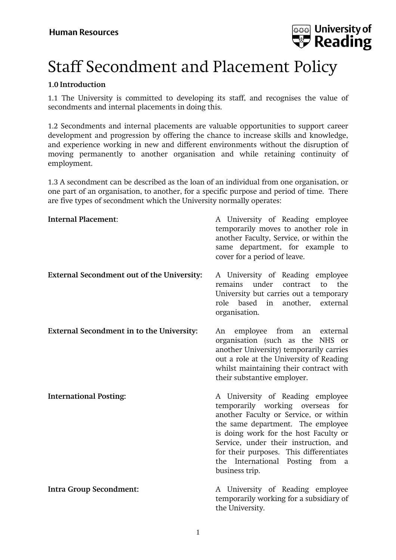

# Staff Secondment and Placement Policy

#### **1.0 Introduction**

1.1 The University is committed to developing its staff, and recognises the value of secondments and internal placements in doing this.

1.2 Secondments and internal placements are valuable opportunities to support career development and progression by offering the chance to increase skills and knowledge, and experience working in new and different environments without the disruption of moving permanently to another organisation and while retaining continuity of employment.

1.3 A secondment can be described as the loan of an individual from one organisation, or one part of an organisation, to another, for a specific purpose and period of time. There are five types of secondment which the University normally operates:

| Internal Placement:                        | A University of Reading employee<br>temporarily moves to another role in<br>another Faculty, Service, or within the<br>same department, for example to<br>cover for a period of leave.                                                                                                                                                   |
|--------------------------------------------|------------------------------------------------------------------------------------------------------------------------------------------------------------------------------------------------------------------------------------------------------------------------------------------------------------------------------------------|
| External Secondment out of the University: | A University of Reading employee<br>remains<br>under<br>contract<br>to<br>the<br>University but carries out a temporary<br>another, external<br>role based in<br>organisation.                                                                                                                                                           |
| External Secondment in to the University:  | employee from an external<br>An<br>organisation (such as the NHS or<br>another University) temporarily carries<br>out a role at the University of Reading<br>whilst maintaining their contract with<br>their substantive employer.                                                                                                       |
| <b>International Posting:</b>              | A University of Reading employee<br>temporarily working overseas<br>for<br>another Faculty or Service, or within<br>the same department. The employee<br>is doing work for the host Faculty or<br>Service, under their instruction, and<br>for their purposes. This differentiates<br>the International Posting from a<br>business trip. |
| <b>Intra Group Secondment:</b>             | A University of Reading employee<br>temporarily working for a subsidiary of<br>the University.                                                                                                                                                                                                                                           |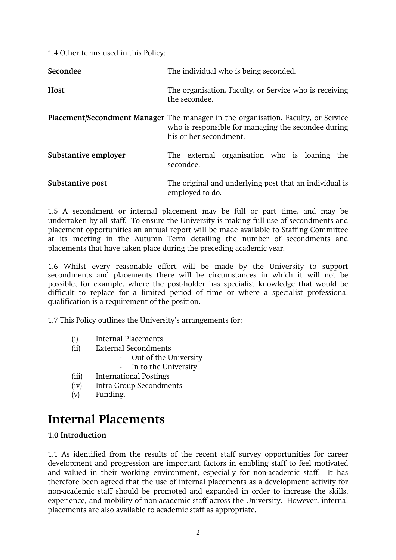1.4 Other terms used in this Policy:

| Secondee             | The individual who is being seconded.                                                                                                                                     |
|----------------------|---------------------------------------------------------------------------------------------------------------------------------------------------------------------------|
| <b>Host</b>          | The organisation, Faculty, or Service who is receiving<br>the secondee.                                                                                                   |
|                      | <b>Placement/Secondment Manager</b> The manager in the organisation, Faculty, or Service<br>who is responsible for managing the secondee during<br>his or her secondment. |
| Substantive employer | The external organisation who is loaning the<br>secondee.                                                                                                                 |
| Substantive post     | The original and underlying post that an individual is<br>employed to do.                                                                                                 |

1.5 A secondment or internal placement may be full or part time, and may be undertaken by all staff. To ensure the University is making full use of secondments and placement opportunities an annual report will be made available to Staffing Committee at its meeting in the Autumn Term detailing the number of secondments and placements that have taken place during the preceding academic year.

1.6 Whilst every reasonable effort will be made by the University to support secondments and placements there will be circumstances in which it will not be possible, for example, where the post-holder has specialist knowledge that would be difficult to replace for a limited period of time or where a specialist professional qualification is a requirement of the position.

1.7 This Policy outlines the University's arrangements for:

- (i) Internal Placements
- (ii) External Secondments
	- Out of the University
	- In to the University
- (iii) International Postings
- (iv) Intra Group Secondments
- (v) Funding.

### **Internal Placements**

#### **1.0 Introduction**

1.1 As identified from the results of the recent staff survey opportunities for career development and progression are important factors in enabling staff to feel motivated and valued in their working environment, especially for non-academic staff. It has therefore been agreed that the use of internal placements as a development activity for non-academic staff should be promoted and expanded in order to increase the skills, experience, and mobility of non-academic staff across the University. However, internal placements are also available to academic staff as appropriate.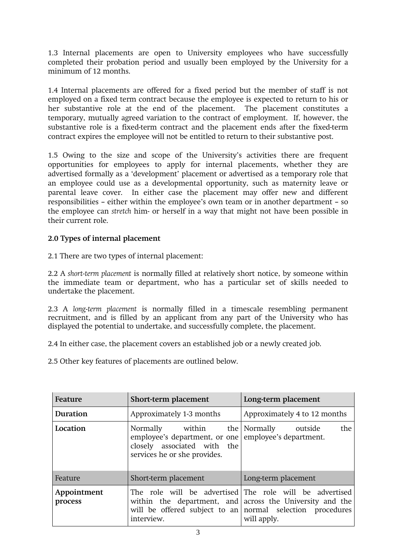1.3 Internal placements are open to University employees who have successfully completed their probation period and usually been employed by the University for a minimum of 12 months.

1.4 Internal placements are offered for a fixed period but the member of staff is not employed on a fixed term contract because the employee is expected to return to his or her substantive role at the end of the placement. The placement constitutes a temporary, mutually agreed variation to the contract of employment. If, however, the substantive role is a fixed-term contract and the placement ends after the fixed-term contract expires the employee will not be entitled to return to their substantive post.

1.5 Owing to the size and scope of the University's activities there are frequent opportunities for employees to apply for internal placements, whether they are advertised formally as a 'development' placement or advertised as a temporary role that an employee could use as a developmental opportunity, such as maternity leave or parental leave cover. In either case the placement may offer new and different responsibilities – either within the employee's own team or in another department – so the employee can *stretch* him- or herself in a way that might not have been possible in their current role.

#### **2.0 Types of internal placement**

2.1 There are two types of internal placement:

2.2 A *short-term placement* is normally filled at relatively short notice, by someone within the immediate team or department, who has a particular set of skills needed to undertake the placement.

2.3 A *long-term placement* is normally filled in a timescale resembling permanent recruitment, and is filled by an applicant from any part of the University who has displayed the potential to undertake, and successfully complete, the placement.

2.4 In either case, the placement covers an established job or a newly created job.

2.5 Other key features of placements are outlined below.

| Feature                | Short-term placement                                                                                                                 | Long-term placement                                                                                                                                                                             |
|------------------------|--------------------------------------------------------------------------------------------------------------------------------------|-------------------------------------------------------------------------------------------------------------------------------------------------------------------------------------------------|
| Duration               | Approximately 1-3 months                                                                                                             | Approximately 4 to 12 months                                                                                                                                                                    |
| Location               | Normally within the Normally outside<br>employee's department, or one<br>closely associated with the<br>services he or she provides. | the<br>employee's department.                                                                                                                                                                   |
| Feature                | Short-term placement                                                                                                                 | Long-term placement                                                                                                                                                                             |
| Appointment<br>process | interview.                                                                                                                           | The role will be advertised The role will be advertised<br>within the department, and across the University and the<br>will be offered subject to an normal selection procedures<br>will apply. |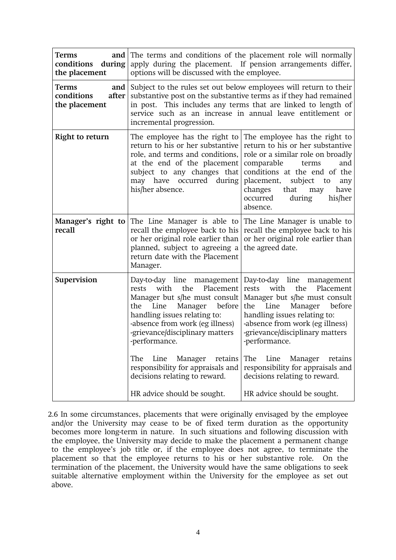| Terms<br>and  <br>conditions<br>during<br>the placement  | The terms and conditions of the placement role will normally<br>apply during the placement. If pension arrangements differ,<br>options will be discussed with the employee.                                                                                                                                                                                            |                                                                                                                                                                                                                                                                                                                                                                        |
|----------------------------------------------------------|------------------------------------------------------------------------------------------------------------------------------------------------------------------------------------------------------------------------------------------------------------------------------------------------------------------------------------------------------------------------|------------------------------------------------------------------------------------------------------------------------------------------------------------------------------------------------------------------------------------------------------------------------------------------------------------------------------------------------------------------------|
| Terms<br>and  <br>conditions<br>after  <br>the placement | Subject to the rules set out below employees will return to their<br>substantive post on the substantive terms as if they had remained<br>in post. This includes any terms that are linked to length of<br>service such as an increase in annual leave entitlement or<br>incremental progression.                                                                      |                                                                                                                                                                                                                                                                                                                                                                        |
| Right to return                                          | The employee has the right to<br>return to his or her substantive<br>role, and terms and conditions,<br>at the end of the placement<br>subject to any changes that<br>may have occurred during<br>his/her absence.                                                                                                                                                     | The employee has the right to<br>return to his or her substantive<br>role or a similar role on broadly<br>comparable<br>and<br>terms<br>conditions at the end of the<br>placement,<br>subject<br>to<br>any<br>changes<br>that<br>have<br>may<br>occurred<br>during<br>his/her<br>absence.                                                                              |
| Manager's right to<br>recall                             | The Line Manager is able to<br>recall the employee back to his<br>or her original role earlier than<br>planned, subject to agreeing a<br>return date with the Placement<br>Manager.                                                                                                                                                                                    | The Line Manager is unable to<br>recall the employee back to his<br>or her original role earlier than<br>the agreed date.                                                                                                                                                                                                                                              |
| Supervision                                              | Day-to-day line management<br>the<br>with<br>Placement<br>rests<br>Manager but s/he must consult<br>Line<br>Manager<br>before<br>the<br>handling issues relating to:<br>-absence from work (eg illness)<br>-grievance/disciplinary matters<br>-performance.<br>Manager<br>The<br>Line<br>retains<br>responsibility for appraisals and<br>decisions relating to reward. | Day-to-day line management<br>with<br>the<br>Placement<br>rests<br>Manager but s/he must consult<br>Line<br>Manager<br>before<br>the<br>handling issues relating to:<br>-absence from work (eg illness)<br>-grievance/disciplinary matters<br>-performance.<br>The<br>Line<br>Manager<br>retains<br>responsibility for appraisals and<br>decisions relating to reward. |
|                                                          | HR advice should be sought.                                                                                                                                                                                                                                                                                                                                            | HR advice should be sought.                                                                                                                                                                                                                                                                                                                                            |

2.6 In some circumstances, placements that were originally envisaged by the employee and/or the University may cease to be of fixed term duration as the opportunity becomes more long-term in nature. In such situations and following discussion with the employee, the University may decide to make the placement a permanent change to the employee's job title or, if the employee does not agree, to terminate the placement so that the employee returns to his or her substantive role. On the termination of the placement, the University would have the same obligations to seek suitable alternative employment within the University for the employee as set out above.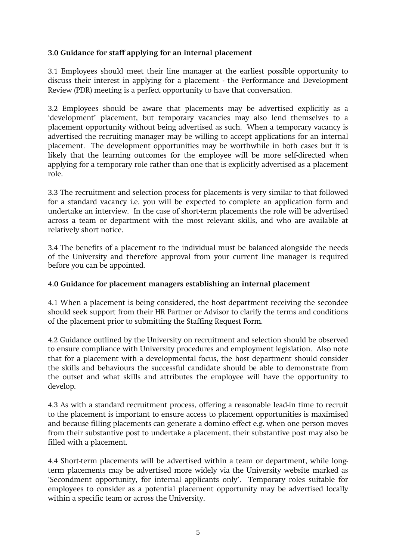#### **3.0 Guidance for staff applying for an internal placement**

3.1 Employees should meet their line manager at the earliest possible opportunity to discuss their interest in applying for a placement - the Performance and Development Review (PDR) meeting is a perfect opportunity to have that conversation.

3.2 Employees should be aware that placements may be advertised explicitly as a 'development' placement, but temporary vacancies may also lend themselves to a placement opportunity without being advertised as such. When a temporary vacancy is advertised the recruiting manager may be willing to accept applications for an internal placement. The development opportunities may be worthwhile in both cases but it is likely that the learning outcomes for the employee will be more self-directed when applying for a temporary role rather than one that is explicitly advertised as a placement role.

3.3 The recruitment and selection process for placements is very similar to that followed for a standard vacancy i.e. you will be expected to complete an application form and undertake an interview. In the case of short-term placements the role will be advertised across a team or department with the most relevant skills, and who are available at relatively short notice.

3.4 The benefits of a placement to the individual must be balanced alongside the needs of the University and therefore approval from your current line manager is required before you can be appointed.

#### **4.0 Guidance for placement managers establishing an internal placement**

4.1 When a placement is being considered, the host department receiving the secondee should seek support from their HR Partner or Advisor to clarify the terms and conditions of the placement prior to submitting the Staffing Request Form.

4.2 Guidance outlined by the University on recruitment and selection should be observed to ensure compliance with University procedures and employment legislation. Also note that for a placement with a developmental focus, the host department should consider the skills and behaviours the successful candidate should be able to demonstrate from the outset and what skills and attributes the employee will have the opportunity to develop.

4.3 As with a standard recruitment process, offering a reasonable lead-in time to recruit to the placement is important to ensure access to placement opportunities is maximised and because filling placements can generate a domino effect e.g. when one person moves from their substantive post to undertake a placement, their substantive post may also be filled with a placement.

4.4 Short-term placements will be advertised within a team or department, while longterm placements may be advertised more widely via the University website marked as 'Secondment opportunity, for internal applicants only'. Temporary roles suitable for employees to consider as a potential placement opportunity may be advertised locally within a specific team or across the University.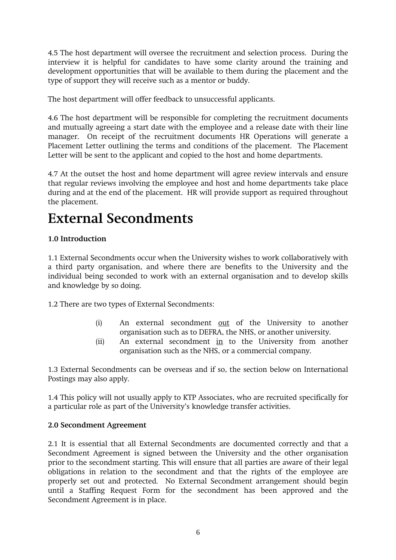4.5 The host department will oversee the recruitment and selection process. During the interview it is helpful for candidates to have some clarity around the training and development opportunities that will be available to them during the placement and the type of support they will receive such as a mentor or buddy.

The host department will offer feedback to unsuccessful applicants.

4.6 The host department will be responsible for completing the recruitment documents and mutually agreeing a start date with the employee and a release date with their line manager. On receipt of the recruitment documents HR Operations will generate a Placement Letter outlining the terms and conditions of the placement. The Placement Letter will be sent to the applicant and copied to the host and home departments.

4.7 At the outset the host and home department will agree review intervals and ensure that regular reviews involving the employee and host and home departments take place during and at the end of the placement. HR will provide support as required throughout the placement.

### **External Secondments**

#### **1.0 Introduction**

1.1 External Secondments occur when the University wishes to work collaboratively with a third party organisation, and where there are benefits to the University and the individual being seconded to work with an external organisation and to develop skills and knowledge by so doing.

1.2 There are two types of External Secondments:

- (i) An external secondment out of the University to another organisation such as to DEFRA, the NHS, or another university.
- (ii) An external secondment in to the University from another organisation such as the NHS, or a commercial company.

1.3 External Secondments can be overseas and if so, the section below on International Postings may also apply.

1.4 This policy will not usually apply to KTP Associates, who are recruited specifically for a particular role as part of the University's knowledge transfer activities.

#### **2.0 Secondment Agreement**

2.1 It is essential that all External Secondments are documented correctly and that a Secondment Agreement is signed between the University and the other organisation prior to the secondment starting. This will ensure that all parties are aware of their legal obligations in relation to the secondment and that the rights of the employee are properly set out and protected. No External Secondment arrangement should begin until a Staffing Request Form for the secondment has been approved and the Secondment Agreement is in place.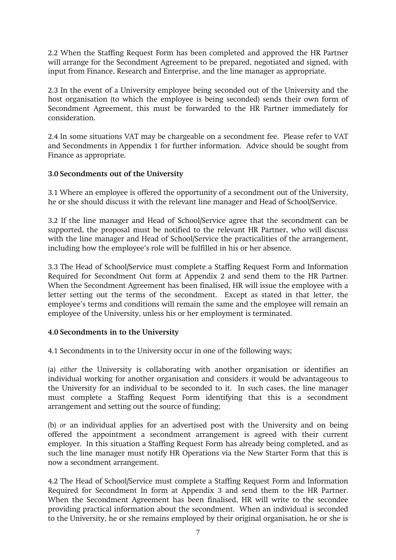2.2 When the Staffing Request Form has been completed and approved the HR Partner will arrange for the Secondment Agreement to be prepared, negotiated and signed, with input from Finance, Research and Enterprise, and the line manager as appropriate.

2.3 In the event of a University employee being seconded out of the University and the host organisation (to which the employee is being seconded) sends their own form of Secondment Agreement, this must be forwarded to the HR Partner immediately for consideration.

2.4 In some situations VAT may be chargeable on a secondment fee. Please refer to VAT and Secondments in Appendix 1 for further information. Advice should be sought from Finance as appropriate.

#### **3.0 Secondments out of the University**

3.1 Where an employee is offered the opportunity of a secondment out of the University, he or she should discuss it with the relevant line manager and Head of School/Service.

3.2 If the line manager and Head of School/Service agree that the secondment can be supported, the proposal must be notified to the relevant HR Partner, who will discuss with the line manager and Head of School/Service the practicalities of the arrangement, including how the employee's role will be fulfilled in his or her absence.

3.3 The Head of School/Service must complete a Staffing Request Form and Information Required for Secondment Out form at Appendix 2 and send them to the HR Partner. When the Secondment Agreement has been finalised, HR will issue the employee with a letter setting out the terms of the secondment. Except as stated in that letter, the employee's terms and conditions will remain the same and the employee will remain an employee of the University, unless his or her employment is terminated.

#### **4.0 Secondments in to the University**

4.1 Secondments in to the University occur in one of the following ways;

(a) *either* the University is collaborating with another organisation or identifies an individual working for another organisation and considers it would be advantageous to the University for an individual to be seconded to it. In such cases, the line manager must complete a Staffing Request Form identifying that this is a secondment arrangement and setting out the source of funding;

(b) *or* an individual applies for an advertised post with the University and on being offered the appointment a secondment arrangement is agreed with their current employer. In this situation a Staffing Request Form has already being completed, and as such the line manager must notify HR Operations via the New Starter Form that this is now a secondment arrangement.

4.2 The Head of School/Service must complete a Staffing Request Form and Information Required for Secondment In form at Appendix 3 and send them to the HR Partner. When the Secondment Agreement has been finalised, HR will write to the secondee providing practical information about the secondment. When an individual is seconded to the University, he or she remains employed by their original organisation, he or she is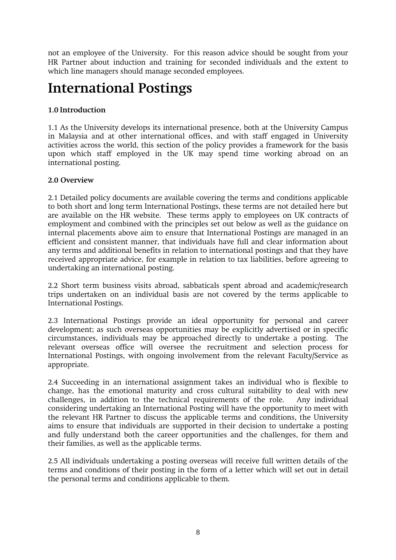not an employee of the University. For this reason advice should be sought from your HR Partner about induction and training for seconded individuals and the extent to which line managers should manage seconded employees.

### **International Postings**

#### **1.0 Introduction**

1.1 As the University develops its international presence, both at the University Campus in Malaysia and at other international offices, and with staff engaged in University activities across the world, this section of the policy provides a framework for the basis upon which staff employed in the UK may spend time working abroad on an international posting.

#### **2.0 Overview**

2.1 Detailed policy documents are available covering the terms and conditions applicable to both short and long term International Postings, these terms are not detailed here but are available on the HR website. These terms apply to employees on UK contracts of employment and combined with the principles set out below as well as the guidance on internal placements above aim to ensure that International Postings are managed in an efficient and consistent manner, that individuals have full and clear information about any terms and additional benefits in relation to international postings and that they have received appropriate advice, for example in relation to tax liabilities, before agreeing to undertaking an international posting.

2.2 Short term business visits abroad, sabbaticals spent abroad and academic/research trips undertaken on an individual basis are not covered by the terms applicable to International Postings.

2.3 International Postings provide an ideal opportunity for personal and career development; as such overseas opportunities may be explicitly advertised or in specific circumstances, individuals may be approached directly to undertake a posting. The relevant overseas office will oversee the recruitment and selection process for International Postings, with ongoing involvement from the relevant Faculty/Service as appropriate.

2.4 Succeeding in an international assignment takes an individual who is flexible to change, has the emotional maturity and cross cultural suitability to deal with new challenges, in addition to the technical requirements of the role. Any individual considering undertaking an International Posting will have the opportunity to meet with the relevant HR Partner to discuss the applicable terms and conditions, the University aims to ensure that individuals are supported in their decision to undertake a posting and fully understand both the career opportunities and the challenges, for them and their families, as well as the applicable terms.

2.5 All individuals undertaking a posting overseas will receive full written details of the terms and conditions of their posting in the form of a letter which will set out in detail the personal terms and conditions applicable to them.